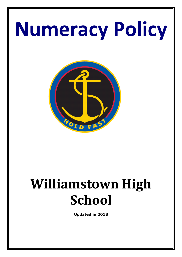# **Numeracy Policy**



## **Williamstown High School**

**Updated in 2018**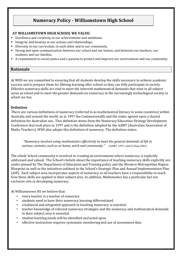### **Numeracy Policy - Williamstown High School**

#### **AT WILLIAMSTOWN HIGH SCHOOL WE VALUE:**

- Excellence and creativity in our achievements and ambitions.
- Integrity and honesty in our actions and relationships.
- Diversity in our curriculum, in each other and in our community.
- Strong and open communication between our school and our homes, and between our teachers, our students and our families.
- A commitment to social justice and a passion to protect and improve our environment and our community.

#### **Rationale**

At WHS we are committed to ensuring that all students develop the skills necessary to achieve academic success and to prepare them for lifelong learning after school so they can fully participate in society. Effective numeracy skills are vital to meet the inherent mathematical demands that exist in all subject areas at school and to meet the greater demands on numeracy in the increasingly technological society in which we live.

#### **Definition**

There are various definitions of numeracy (referred to as mathematical literacy in some countries) within Australia and around the world, so in 1997 the Commonwealth and the states agreed upon a shared definition for Australian use. This definition stems from the Numeracy Education Strategy Development Conference that took place in 1997 and is the definition adopted by the AAMT (Australian Association of Maths Teachers). WHS also adopts this definition of numeracy. The definition states:

 *"Numeracy involves using mathematics effectively to meet the general demands of life in various contexts, such as at home, work and community." (AAMT, 1997, cited in Doig 2001)*

The whole School community is involved in creating an environment where numeracy is explicitly addressed and valued. The School's beliefs about the importance of teaching numeracy skills explicitly are under-pinned by The Department of Education and Training policy and the Western Metropolitan Region Blueprint as well as the initiatives outlined in the School's Strategic Plan and Annual Implementation Plan (AIP). Each subject area incorporates aspects of numeracy so all teachers have a responsibility to teach how these skills are applied in their subject area. In addition, Mathematics has a particular but not exclusive role in developing numeracy.

At Williamstown HS we believe that:

- every teacher is a teacher of numeracy
- students need to have their numeracy learning differentiated
- a balanced and integrated approach to teaching numeracy is essential
- teacher knowledge of relevant numeracy strategies and the numeracy and mathematical demands in their subject area is essential

- student learning needs will be identified and acted upon
- effective instruction requires systematic monitoring and use of assessment data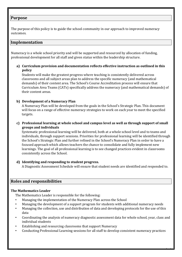#### **Purpose**

The purpose of this policy is to guide the school community in our approach to improved numeracy outcomes.

#### **Implementation**

Numeracy is a whole school priority and will be supported and resourced by allocation of funding, professional development for all staff and given status within the leadership structure.

**a) Curriculum provision and documentation reflects effective instruction as outlined in this policy** 

Students will make the greatest progress where teaching is consistently delivered across classrooms and all subject areas plan to address the specific numeracy (and mathematical demands) of their content area. The School's Course Accreditation process will ensure that Curriculum Area Teams (CATs) specifically address the numeracy (and mathematical demands) of their content areas.

#### **b) Development of a Numeracy Plan**

A Numeracy Plan will be developed from the goals in the School's Strategic Plan. This document will focus on a range of effective numeracy strategies to work on each year to meet the specified targets.

**c) Professional learning at whole school and campus level as well as through support of small groups and individuals** 

Systematic professional learning will be delivered, both at a whole school level and to teams and individuals, through support sessions. Priorities for professional learning will be identified through the School's Strategic Plan and further refined in the School's Numeracy Plan in order to have a focused approach which allows teachers the chance to consolidate and fully implement new learnings. The goal of all professional learning is to see changed practices evident in classrooms consistently across the School.

#### **d) Identifying and responding to student progress.**

A Diagnostic Assessment Schedule will ensure that student needs are identified and responded to.

#### **Roles and responsibilities**

#### **The Mathematics Leader**

The Mathematics Leader is responsible for the following:

- Managing the implementation of the Numeracy Plan across the School
- Managing the development of a support program for students with additional numeracy needs
- Managing the collection, use and distribution of data and developing protocols for the use of this data
- Coordinating the analysis of numeracy diagnostic assessment data for whole school, year, class and individual students

- Establishing and resourcing classrooms that support Numeracy
- Conducting Professional Learning sessions for all staff to develop consistent numeracy practices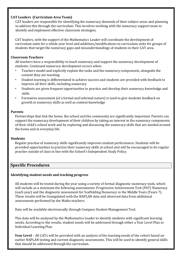#### **CAT Leaders (Curriculum Area Team)**

CAT leaders are responsible for identifying the numeracy demands of their subject areas and planning to address this through the curriculum. This involves working with the numeracy support team to identify and implement effective classroom strategies.

CAT leaders, with the support of the Mathematics Leader will coordinate the development of curriculum units for a whole year level and additions/modifications to curriculum units for groups of students that target the numeracy gaps and misunderstandings of students in their CAT area.

#### **Classroom Teachers**

All teachers have a responsibility to teach numeracy and support the numeracy development of students. Continued numeracy development occurs when:

- Teachers model and explicitly explain the tasks and the numeracy components, alongside the content they are teaching
- Student learning is differentiated to achieve success and students are provided with feedback to improve all their skills, including numeracy
- Students are given frequent opportunities to practice and develop their numeracy knowledge and skills
- Formative assessment (of a formal and informal nature) is used to give students feedback on growth in numeracy skills as well as content knowledge

#### **Parents**

Partnerships that link the home, the school and the community are significantly important. Parents can support the numeracy development of their children by taking an interest in the numeracy components of their child's school work and by exploring and discussing the numeracy skills that are needed around the home and in everyday life.

#### **Students**

Regular practise of numeracy skills significantly improves student performance. Students will be provided opportunities to practise their numeracy skills at school and will be encouraged to do regular practise outside of class in line with the School's Independent Study Policy.

#### **Specific Procedures**

#### **Identifying student needs and tracking progress**

All students will be tested during the year using a variety of formal diagnostic numeracy tools, which will include as a minimum the following assessments: Progressive Achievement Test (PAT) Numeracy (each year) and the diagnostic assessment for Scaffolding Numeracy in the Middle Years (Years 7). These results will be triangulated with the NAPLAN data and observed data from additional assessments performed by the Maths teachers.

Data will be available electronically through Compass Student Management Tool.

This data will be analysed by the Mathematics Leader to identify students with significant learning needs. According to the results, student needs will be addressed through either a Year Level Plan or Individual Learning Plan.

**Year Level** – All CATs will be provided with an analysis of the learning needs of the cohort based on earlier NAPLAN testing and current diagnostic assessments. This will be used to identify general skills that should be addressed through the curriculum.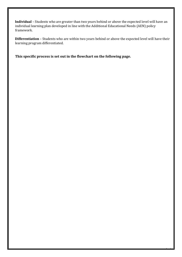**Individual** – Students who are greater than two years behind or above the expected level will have an individual learning plan developed in line with the Additional Educational Needs (AEN) policy framework.

**Differentiation** – Students who are within two years behind or above the expected level will have their learning program differentiated.

Page 5

**This specific process is set out in the flowchart on the following page.**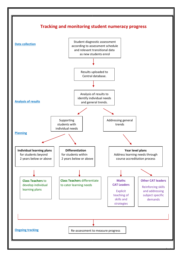